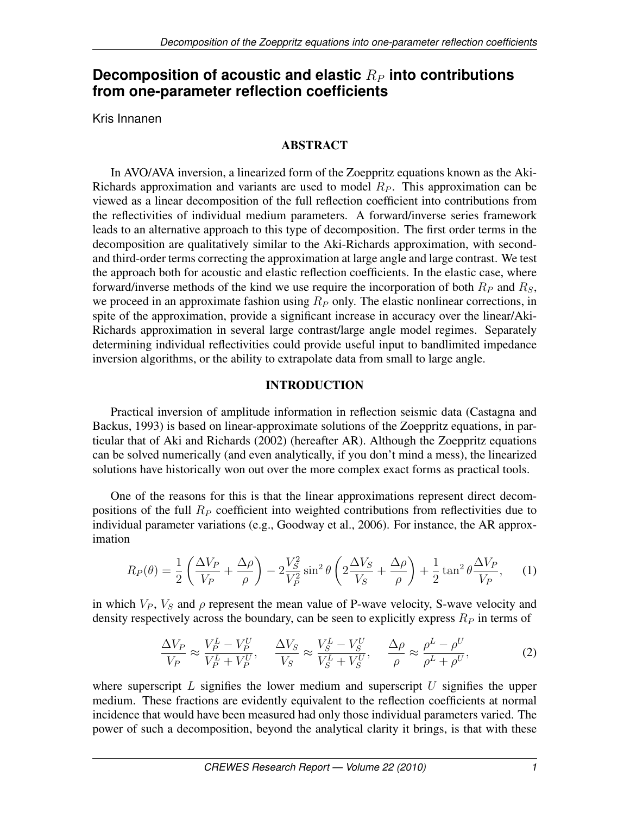# **Decomposition of acoustic and elastic**  $R_P$  into contributions **from one-parameter reflection coefficients**

Kris Innanen

# ABSTRACT

In AVO/AVA inversion, a linearized form of the Zoeppritz equations known as the Aki-Richards approximation and variants are used to model  $R<sub>P</sub>$ . This approximation can be viewed as a linear decomposition of the full reflection coefficient into contributions from the reflectivities of individual medium parameters. A forward/inverse series framework leads to an alternative approach to this type of decomposition. The first order terms in the decomposition are qualitatively similar to the Aki-Richards approximation, with secondand third-order terms correcting the approximation at large angle and large contrast. We test the approach both for acoustic and elastic reflection coefficients. In the elastic case, where forward/inverse methods of the kind we use require the incorporation of both  $R_P$  and  $R_S$ , we proceed in an approximate fashion using  $R<sub>P</sub>$  only. The elastic nonlinear corrections, in spite of the approximation, provide a significant increase in accuracy over the linear/Aki-Richards approximation in several large contrast/large angle model regimes. Separately determining individual reflectivities could provide useful input to bandlimited impedance inversion algorithms, or the ability to extrapolate data from small to large angle.

# INTRODUCTION

Practical inversion of amplitude information in reflection seismic data (Castagna and Backus, 1993) is based on linear-approximate solutions of the Zoeppritz equations, in particular that of Aki and Richards (2002) (hereafter AR). Although the Zoeppritz equations can be solved numerically (and even analytically, if you don't mind a mess), the linearized solutions have historically won out over the more complex exact forms as practical tools.

One of the reasons for this is that the linear approximations represent direct decompositions of the full  $R<sub>P</sub>$  coefficient into weighted contributions from reflectivities due to individual parameter variations (e.g., Goodway et al., 2006). For instance, the AR approximation

$$
R_P(\theta) = \frac{1}{2} \left( \frac{\Delta V_P}{V_P} + \frac{\Delta \rho}{\rho} \right) - 2 \frac{V_S^2}{V_P^2} \sin^2 \theta \left( 2 \frac{\Delta V_S}{V_S} + \frac{\Delta \rho}{\rho} \right) + \frac{1}{2} \tan^2 \theta \frac{\Delta V_P}{V_P}, \quad (1)
$$

in which  $V_P$ ,  $V_S$  and  $\rho$  represent the mean value of P-wave velocity, S-wave velocity and density respectively across the boundary, can be seen to explicitly express  $R<sub>P</sub>$  in terms of

$$
\frac{\Delta V_P}{V_P} \approx \frac{V_P^L - V_P^U}{V_P^L + V_P^U}, \quad \frac{\Delta V_S}{V_S} \approx \frac{V_S^L - V_S^U}{V_S^L + V_S^U}, \quad \frac{\Delta \rho}{\rho} \approx \frac{\rho^L - \rho^U}{\rho^L + \rho^U},\tag{2}
$$

where superscript  $L$  signifies the lower medium and superscript  $U$  signifies the upper medium. These fractions are evidently equivalent to the reflection coefficients at normal incidence that would have been measured had only those individual parameters varied. The power of such a decomposition, beyond the analytical clarity it brings, is that with these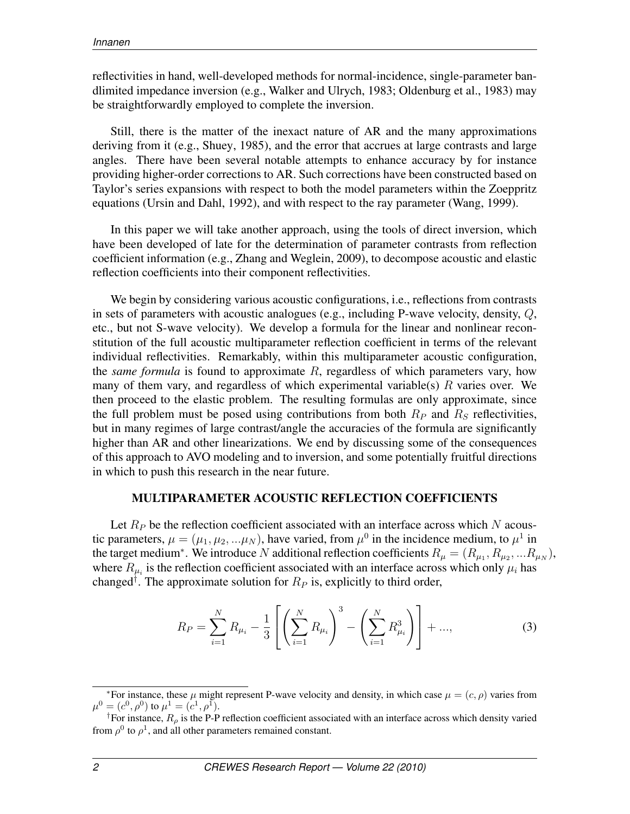reflectivities in hand, well-developed methods for normal-incidence, single-parameter bandlimited impedance inversion (e.g., Walker and Ulrych, 1983; Oldenburg et al., 1983) may be straightforwardly employed to complete the inversion.

Still, there is the matter of the inexact nature of AR and the many approximations deriving from it (e.g., Shuey, 1985), and the error that accrues at large contrasts and large angles. There have been several notable attempts to enhance accuracy by for instance providing higher-order corrections to AR. Such corrections have been constructed based on Taylor's series expansions with respect to both the model parameters within the Zoeppritz equations (Ursin and Dahl, 1992), and with respect to the ray parameter (Wang, 1999).

In this paper we will take another approach, using the tools of direct inversion, which have been developed of late for the determination of parameter contrasts from reflection coefficient information (e.g., Zhang and Weglein, 2009), to decompose acoustic and elastic reflection coefficients into their component reflectivities.

We begin by considering various acoustic configurations, i.e., reflections from contrasts in sets of parameters with acoustic analogues (e.g., including P-wave velocity, density,  $Q$ , etc., but not S-wave velocity). We develop a formula for the linear and nonlinear reconstitution of the full acoustic multiparameter reflection coefficient in terms of the relevant individual reflectivities. Remarkably, within this multiparameter acoustic configuration, the *same formula* is found to approximate R, regardless of which parameters vary, how many of them vary, and regardless of which experimental variable(s)  $R$  varies over. We then proceed to the elastic problem. The resulting formulas are only approximate, since the full problem must be posed using contributions from both  $R<sub>P</sub>$  and  $R<sub>S</sub>$  reflectivities, but in many regimes of large contrast/angle the accuracies of the formula are significantly higher than AR and other linearizations. We end by discussing some of the consequences of this approach to AVO modeling and to inversion, and some potentially fruitful directions in which to push this research in the near future.

# MULTIPARAMETER ACOUSTIC REFLECTION COEFFICIENTS

Let  $R_P$  be the reflection coefficient associated with an interface across which N acoustic parameters,  $\mu = (\mu_1, \mu_2, ... \mu_N)$ , have varied, from  $\mu^0$  in the incidence medium, to  $\mu^1$  in the target medium<sup>∗</sup>. We introduce N additional reflection coefficients  $R_{\mu} = (R_{\mu_1}, R_{\mu_2}, ... R_{\mu_N})$ , where  $R_{\mu_i}$  is the reflection coefficient associated with an interface across which only  $\mu_i$  has changed<sup>†</sup>. The approximate solution for  $R_P$  is, explicitly to third order,

$$
R_P = \sum_{i=1}^{N} R_{\mu_i} - \frac{1}{3} \left[ \left( \sum_{i=1}^{N} R_{\mu_i} \right)^3 - \left( \sum_{i=1}^{N} R_{\mu_i}^3 \right) \right] + ..., \tag{3}
$$

<sup>&</sup>lt;sup>\*</sup>For instance, these  $\mu$  might represent P-wave velocity and density, in which case  $\mu = (c, \rho)$  varies from  $\mu^0 = (c^0, \rho^0)$  to  $\mu^1 = (c^1, \rho^1)$ .

<sup>&</sup>lt;sup>†</sup>For instance,  $R_{\rho}$  is the P-P reflection coefficient associated with an interface across which density varied from  $\rho^0$  to  $\rho^1$ , and all other parameters remained constant.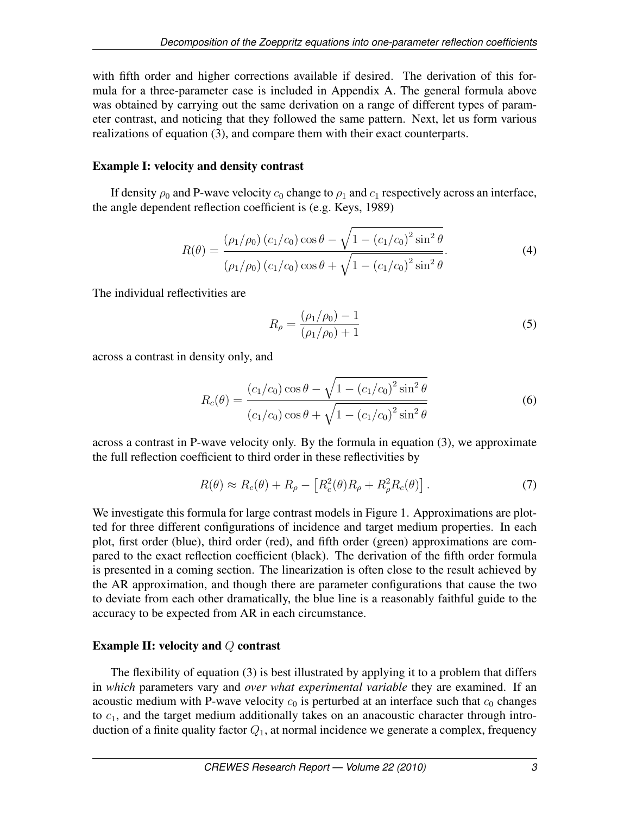with fifth order and higher corrections available if desired. The derivation of this formula for a three-parameter case is included in Appendix A. The general formula above was obtained by carrying out the same derivation on a range of different types of parameter contrast, and noticing that they followed the same pattern. Next, let us form various realizations of equation (3), and compare them with their exact counterparts.

# Example I: velocity and density contrast

If density  $\rho_0$  and P-wave velocity  $c_0$  change to  $\rho_1$  and  $c_1$  respectively across an interface, the angle dependent reflection coefficient is (e.g. Keys, 1989)

$$
R(\theta) = \frac{(\rho_1/\rho_0) (c_1/c_0) \cos \theta - \sqrt{1 - (c_1/c_0)^2 \sin^2 \theta}}{(\rho_1/\rho_0) (c_1/c_0) \cos \theta + \sqrt{1 - (c_1/c_0)^2 \sin^2 \theta}}.
$$
(4)

The individual reflectivities are

$$
R_{\rho} = \frac{(\rho_1/\rho_0) - 1}{(\rho_1/\rho_0) + 1}
$$
\n(5)

across a contrast in density only, and

$$
R_c(\theta) = \frac{(c_1/c_0)\cos\theta - \sqrt{1 - (c_1/c_0)^2 \sin^2\theta}}{(c_1/c_0)\cos\theta + \sqrt{1 - (c_1/c_0)^2 \sin^2\theta}}
$$
(6)

across a contrast in P-wave velocity only. By the formula in equation (3), we approximate the full reflection coefficient to third order in these reflectivities by

$$
R(\theta) \approx R_c(\theta) + R_\rho - \left[ R_c^2(\theta) R_\rho + R_\rho^2 R_c(\theta) \right]. \tag{7}
$$

We investigate this formula for large contrast models in Figure 1. Approximations are plotted for three different configurations of incidence and target medium properties. In each plot, first order (blue), third order (red), and fifth order (green) approximations are compared to the exact reflection coefficient (black). The derivation of the fifth order formula is presented in a coming section. The linearization is often close to the result achieved by the AR approximation, and though there are parameter configurations that cause the two to deviate from each other dramatically, the blue line is a reasonably faithful guide to the accuracy to be expected from AR in each circumstance.

# Example II: velocity and Q contrast

The flexibility of equation (3) is best illustrated by applying it to a problem that differs in *which* parameters vary and *over what experimental variable* they are examined. If an acoustic medium with P-wave velocity  $c_0$  is perturbed at an interface such that  $c_0$  changes to  $c_1$ , and the target medium additionally takes on an anacoustic character through introduction of a finite quality factor  $Q_1$ , at normal incidence we generate a complex, frequency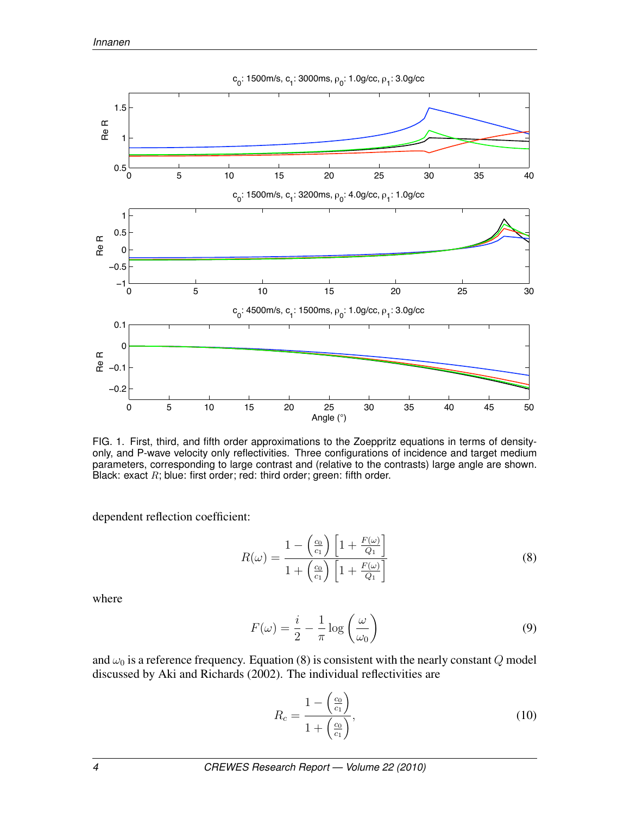

FIG. 1. First, third, and fifth order approximations to the Zoeppritz equations in terms of densityonly, and P-wave velocity only reflectivities. Three configurations of incidence and target medium parameters, corresponding to large contrast and (relative to the contrasts) large angle are shown. Black: exact  $R$ ; blue: first order; red: third order; green: fifth order.

dependent reflection coefficient:

$$
R(\omega) = \frac{1 - \left(\frac{c_0}{c_1}\right) \left[1 + \frac{F(\omega)}{Q_1}\right]}{1 + \left(\frac{c_0}{c_1}\right) \left[1 + \frac{F(\omega)}{Q_1}\right]}
$$
(8)

where

$$
F(\omega) = \frac{i}{2} - \frac{1}{\pi} \log \left( \frac{\omega}{\omega_0} \right)
$$
 (9)

and  $\omega_0$  is a reference frequency. Equation (8) is consistent with the nearly constant Q model discussed by Aki and Richards (2002). The individual reflectivities are

$$
R_c = \frac{1 - \left(\frac{c_0}{c_1}\right)}{1 + \left(\frac{c_0}{c_1}\right)},\tag{10}
$$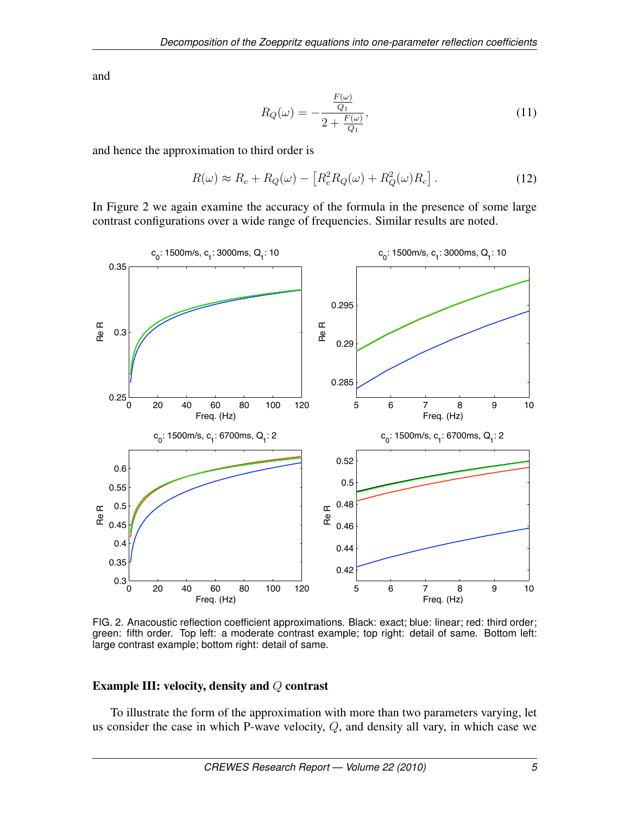and

$$
R_Q(\omega) = -\frac{\frac{F(\omega)}{Q_1}}{2 + \frac{F(\omega)}{Q_1}},
$$
\n(11)

and hence the approximation to third order is

$$
R(\omega) \approx R_c + R_Q(\omega) - \left[R_c^2 R_Q(\omega) + R_Q^2(\omega) R_c\right].
$$
 (12)

In Figure 2 we again examine the accuracy of the formula in the presence of some large contrast configurations over a wide range of frequencies. Similar results are noted.



FIG. 2. Anacoustic reflection coefficient approximations. Black: exact; blue: linear; red: third order; green: fifth order. Top left: a moderate contrast example; top right: detail of same. Bottom left: large contrast example; bottom right: detail of same.

### Example III: velocity, density and Q contrast

To illustrate the form of the approximation with more than two parameters varying, let us consider the case in which P-wave velocity, Q, and density all vary, in which case we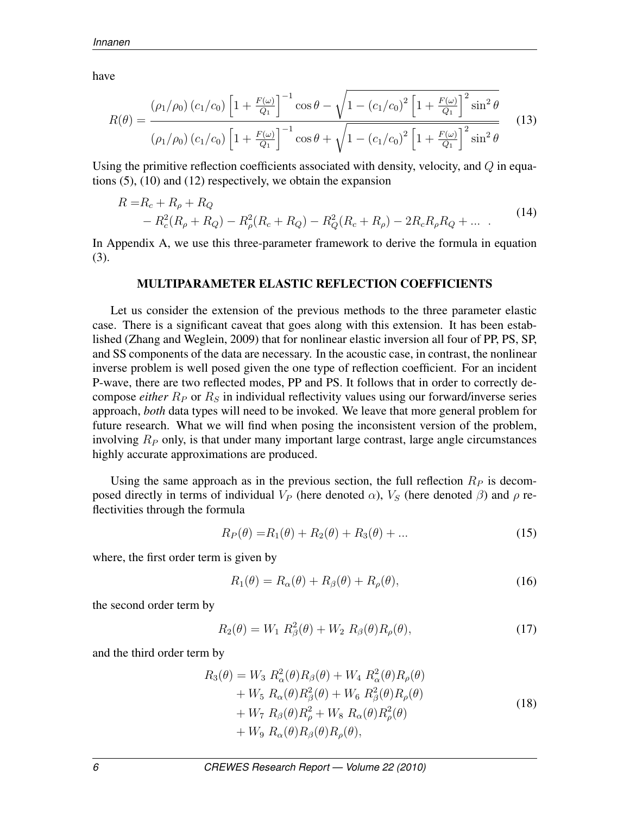have

$$
R(\theta) = \frac{(\rho_1/\rho_0) (c_1/c_0) \left[1 + \frac{F(\omega)}{Q_1}\right]^{-1} \cos \theta - \sqrt{1 - (c_1/c_0)^2 \left[1 + \frac{F(\omega)}{Q_1}\right]^2 \sin^2 \theta}}{(\rho_1/\rho_0) (c_1/c_0) \left[1 + \frac{F(\omega)}{Q_1}\right]^{-1} \cos \theta + \sqrt{1 - (c_1/c_0)^2 \left[1 + \frac{F(\omega)}{Q_1}\right]^2 \sin^2 \theta}}
$$
(13)

Using the primitive reflection coefficients associated with density, velocity, and  $Q$  in equations (5), (10) and (12) respectively, we obtain the expansion

$$
R = R_c + R_\rho + R_Q
$$
  
-  $R_c^2(R_\rho + R_Q) - R_\rho^2(R_c + R_Q) - R_Q^2(R_c + R_\rho) - 2R_cR_\rho R_Q + ...$  (14)

In Appendix A, we use this three-parameter framework to derive the formula in equation (3).

#### MULTIPARAMETER ELASTIC REFLECTION COEFFICIENTS

Let us consider the extension of the previous methods to the three parameter elastic case. There is a significant caveat that goes along with this extension. It has been established (Zhang and Weglein, 2009) that for nonlinear elastic inversion all four of PP, PS, SP, and SS components of the data are necessary. In the acoustic case, in contrast, the nonlinear inverse problem is well posed given the one type of reflection coefficient. For an incident P-wave, there are two reflected modes, PP and PS. It follows that in order to correctly decompose *either*  $R_P$  or  $R_S$  in individual reflectivity values using our forward/inverse series approach, *both* data types will need to be invoked. We leave that more general problem for future research. What we will find when posing the inconsistent version of the problem, involving  $R<sub>P</sub>$  only, is that under many important large contrast, large angle circumstances highly accurate approximations are produced.

Using the same approach as in the previous section, the full reflection  $R_P$  is decomposed directly in terms of individual  $V_P$  (here denoted  $\alpha$ ),  $V_S$  (here denoted  $\beta$ ) and  $\rho$  reflectivities through the formula

$$
R_P(\theta) = R_1(\theta) + R_2(\theta) + R_3(\theta) + \dots
$$
\n(15)

where, the first order term is given by

$$
R_1(\theta) = R_{\alpha}(\theta) + R_{\beta}(\theta) + R_{\rho}(\theta),
$$
\n(16)

the second order term by

$$
R_2(\theta) = W_1 \; R_\beta^2(\theta) + W_2 \; R_\beta(\theta) R_\rho(\theta), \tag{17}
$$

and the third order term by

$$
R_3(\theta) = W_3 R_{\alpha}^2(\theta) R_{\beta}(\theta) + W_4 R_{\alpha}^2(\theta) R_{\rho}(\theta)
$$
  
+  $W_5 R_{\alpha}(\theta) R_{\beta}^2(\theta) + W_6 R_{\beta}^2(\theta) R_{\rho}(\theta)$   
+  $W_7 R_{\beta}(\theta) R_{\rho}^2 + W_8 R_{\alpha}(\theta) R_{\rho}^2(\theta)$   
+  $W_9 R_{\alpha}(\theta) R_{\beta}(\theta) R_{\rho}(\theta),$  (18)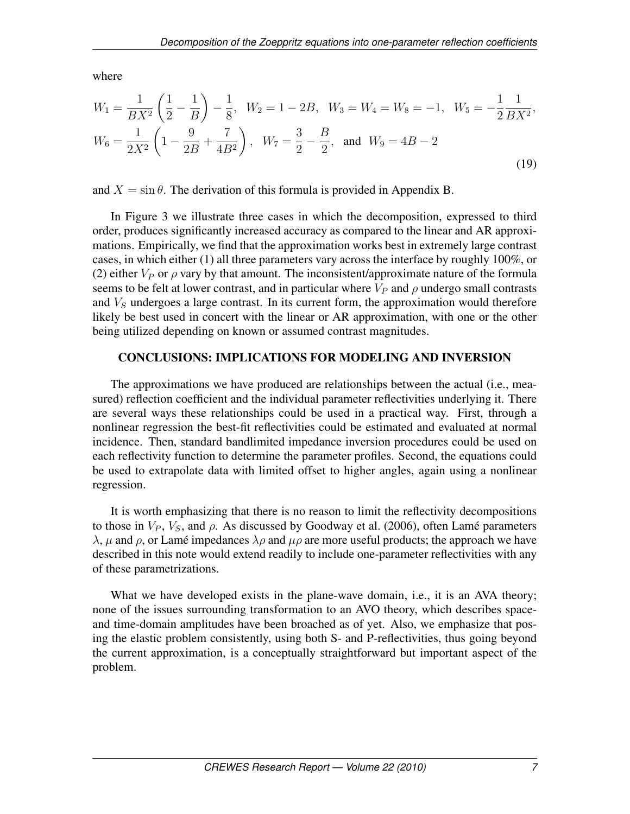where

$$
W_1 = \frac{1}{BX^2} \left(\frac{1}{2} - \frac{1}{B}\right) - \frac{1}{8}, \quad W_2 = 1 - 2B, \quad W_3 = W_4 = W_8 = -1, \quad W_5 = -\frac{1}{2} \frac{1}{BX^2},
$$
  

$$
W_6 = \frac{1}{2X^2} \left(1 - \frac{9}{2B} + \frac{7}{4B^2}\right), \quad W_7 = \frac{3}{2} - \frac{B}{2}, \quad \text{and} \quad W_9 = 4B - 2
$$
 (19)

and  $X = \sin \theta$ . The derivation of this formula is provided in Appendix B.

In Figure 3 we illustrate three cases in which the decomposition, expressed to third order, produces significantly increased accuracy as compared to the linear and AR approximations. Empirically, we find that the approximation works best in extremely large contrast cases, in which either (1) all three parameters vary across the interface by roughly 100%, or (2) either  $V_P$  or  $\rho$  vary by that amount. The inconsistent/approximate nature of the formula seems to be felt at lower contrast, and in particular where  $V_P$  and  $\rho$  undergo small contrasts and  $V<sub>S</sub>$  undergoes a large contrast. In its current form, the approximation would therefore likely be best used in concert with the linear or AR approximation, with one or the other being utilized depending on known or assumed contrast magnitudes.

### CONCLUSIONS: IMPLICATIONS FOR MODELING AND INVERSION

The approximations we have produced are relationships between the actual (i.e., measured) reflection coefficient and the individual parameter reflectivities underlying it. There are several ways these relationships could be used in a practical way. First, through a nonlinear regression the best-fit reflectivities could be estimated and evaluated at normal incidence. Then, standard bandlimited impedance inversion procedures could be used on each reflectivity function to determine the parameter profiles. Second, the equations could be used to extrapolate data with limited offset to higher angles, again using a nonlinear regression.

It is worth emphasizing that there is no reason to limit the reflectivity decompositions to those in  $V_P$ ,  $V_S$ , and  $\rho$ . As discussed by Goodway et al. (2006), often Lamé parameters  $\lambda$ ,  $\mu$  and  $\rho$ , or Lamé impedances  $\lambda \rho$  and  $\mu \rho$  are more useful products; the approach we have described in this note would extend readily to include one-parameter reflectivities with any of these parametrizations.

What we have developed exists in the plane-wave domain, i.e., it is an AVA theory; none of the issues surrounding transformation to an AVO theory, which describes spaceand time-domain amplitudes have been broached as of yet. Also, we emphasize that posing the elastic problem consistently, using both S- and P-reflectivities, thus going beyond the current approximation, is a conceptually straightforward but important aspect of the problem.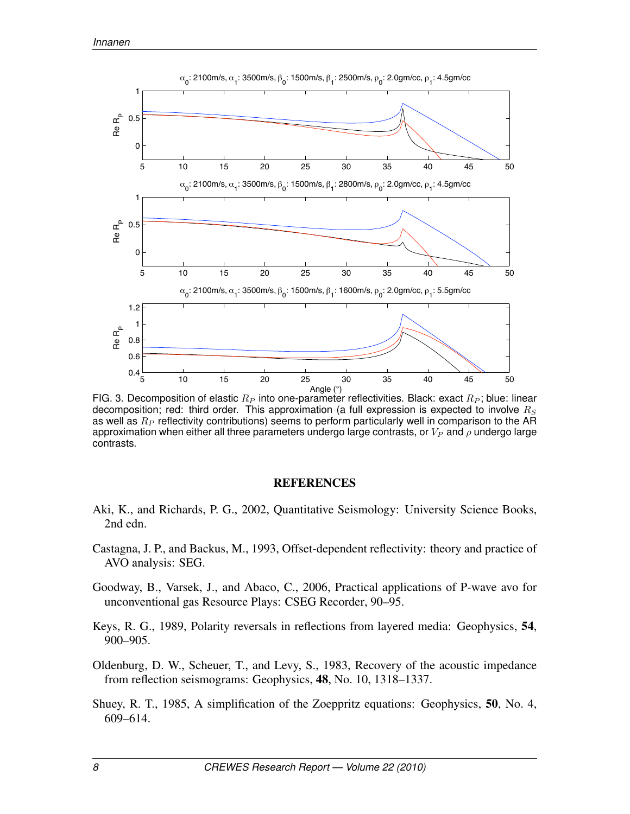

FIG. 3. Decomposition of elastic  $R_P$  into one-parameter reflectivities. Black: exact  $R_P$ ; blue: linear decomposition; red: third order. This approximation (a full expression is expected to involve  $R_S$ as well as  $R_P$  reflectivity contributions) seems to perform particularly well in comparison to the AR approximation when either all three parameters undergo large contrasts, or  $V_P$  and  $\rho$  undergo large contrasts.

### **REFERENCES**

- Aki, K., and Richards, P. G., 2002, Quantitative Seismology: University Science Books, 2nd edn.
- Castagna, J. P., and Backus, M., 1993, Offset-dependent reflectivity: theory and practice of AVO analysis: SEG.
- Goodway, B., Varsek, J., and Abaco, C., 2006, Practical applications of P-wave avo for unconventional gas Resource Plays: CSEG Recorder, 90–95.
- Keys, R. G., 1989, Polarity reversals in reflections from layered media: Geophysics, 54, 900–905.
- Oldenburg, D. W., Scheuer, T., and Levy, S., 1983, Recovery of the acoustic impedance from reflection seismograms: Geophysics, 48, No. 10, 1318–1337.
- Shuey, R. T., 1985, A simplification of the Zoeppritz equations: Geophysics, 50, No. 4, 609–614.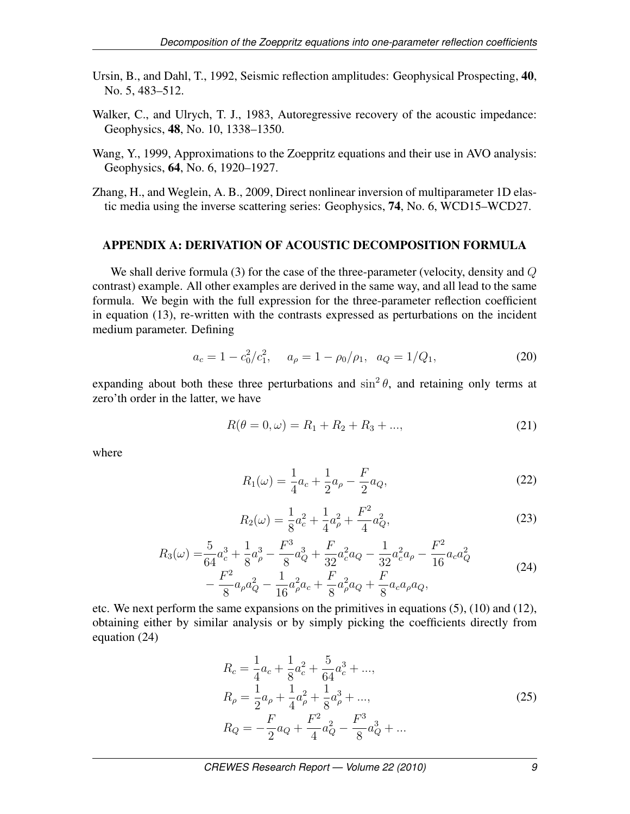- Ursin, B., and Dahl, T., 1992, Seismic reflection amplitudes: Geophysical Prospecting, 40, No. 5, 483–512.
- Walker, C., and Ulrych, T. J., 1983, Autoregressive recovery of the acoustic impedance: Geophysics, 48, No. 10, 1338–1350.
- Wang, Y., 1999, Approximations to the Zoeppritz equations and their use in AVO analysis: Geophysics, 64, No. 6, 1920–1927.
- Zhang, H., and Weglein, A. B., 2009, Direct nonlinear inversion of multiparameter 1D elastic media using the inverse scattering series: Geophysics, 74, No. 6, WCD15–WCD27.

## APPENDIX A: DERIVATION OF ACOUSTIC DECOMPOSITION FORMULA

We shall derive formula (3) for the case of the three-parameter (velocity, density and  $Q$ contrast) example. All other examples are derived in the same way, and all lead to the same formula. We begin with the full expression for the three-parameter reflection coefficient in equation (13), re-written with the contrasts expressed as perturbations on the incident medium parameter. Defining

$$
a_c = 1 - c_0^2/c_1^2, \quad a_\rho = 1 - \rho_0/\rho_1, \quad a_Q = 1/Q_1,\tag{20}
$$

expanding about both these three perturbations and  $\sin^2 \theta$ , and retaining only terms at zero'th order in the latter, we have

$$
R(\theta = 0, \omega) = R_1 + R_2 + R_3 + ..., \qquad (21)
$$

where

$$
R_1(\omega) = \frac{1}{4}a_c + \frac{1}{2}a_\rho - \frac{F}{2}a_Q,
$$
\n(22)

$$
R_2(\omega) = \frac{1}{8}a_c^2 + \frac{1}{4}a_\rho^2 + \frac{F^2}{4}a_Q^2,
$$
\n(23)

$$
R_3(\omega) = \frac{5}{64}a_c^3 + \frac{1}{8}a_\rho^3 - \frac{F^3}{8}a_Q^3 + \frac{F}{32}a_c^2a_Q - \frac{1}{32}a_c^2a_\rho - \frac{F^2}{16}a_ca_Q^2 - \frac{F^2}{8}a_\rho a_Q^2 - \frac{1}{16}a_\rho^2a_c + \frac{F}{8}a_\rho^2a_Q + \frac{F}{8}a_ca_\rho a_Q,
$$
\n(24)

etc. We next perform the same expansions on the primitives in equations (5), (10) and (12), obtaining either by similar analysis or by simply picking the coefficients directly from equation (24)

$$
R_c = \frac{1}{4}a_c + \frac{1}{8}a_c^2 + \frac{5}{64}a_c^3 + ...,
$$
  
\n
$$
R_\rho = \frac{1}{2}a_\rho + \frac{1}{4}a_\rho^2 + \frac{1}{8}a_\rho^3 + ...,
$$
  
\n
$$
R_Q = -\frac{F}{2}a_Q + \frac{F^2}{4}a_Q^2 - \frac{F^3}{8}a_Q^3 + ...
$$
\n(25)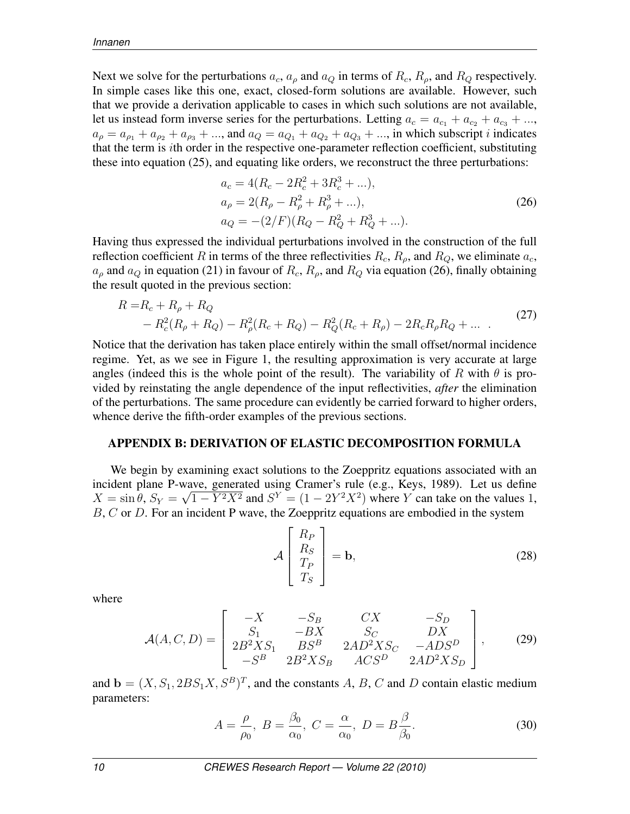Next we solve for the perturbations  $a_c$ ,  $a_\rho$  and  $a_Q$  in terms of  $R_c$ ,  $R_\rho$ , and  $R_Q$  respectively. In simple cases like this one, exact, closed-form solutions are available. However, such that we provide a derivation applicable to cases in which such solutions are not available, let us instead form inverse series for the perturbations. Letting  $a_c = a_{c_1} + a_{c_2} + a_{c_3} + ...$  $a_{\rho} = a_{\rho_1} + a_{\rho_2} + a_{\rho_3} + ...$ , and  $a_Q = a_{Q_1} + a_{Q_2} + a_{Q_3} + ...$ , in which subscript *i* indicates that the term is ith order in the respective one-parameter reflection coefficient, substituting these into equation (25), and equating like orders, we reconstruct the three perturbations:

$$
a_c = 4(R_c - 2R_c^2 + 3R_c^3 + ...),
$$
  
\n
$$
a_{\rho} = 2(R_{\rho} - R_{\rho}^2 + R_{\rho}^3 + ...),
$$
  
\n
$$
a_Q = -(2/F)(R_Q - R_Q^2 + R_Q^3 + ...).
$$
\n(26)

Having thus expressed the individual perturbations involved in the construction of the full reflection coefficient R in terms of the three reflectivities  $R_c$ ,  $R_o$ , and  $R_o$ , we eliminate  $a_c$ ,  $a_{\rho}$  and  $a_{Q}$  in equation (21) in favour of  $R_c$ ,  $R_{\rho}$ , and  $R_{Q}$  via equation (26), finally obtaining the result quoted in the previous section:

$$
R = R_c + R_\rho + R_Q
$$
  
-  $R_c^2(R_\rho + R_Q) - R_\rho^2(R_c + R_Q) - R_Q^2(R_c + R_\rho) - 2R_cR_\rho R_Q + ...$  (27)

Notice that the derivation has taken place entirely within the small offset/normal incidence regime. Yet, as we see in Figure 1, the resulting approximation is very accurate at large angles (indeed this is the whole point of the result). The variability of R with  $\theta$  is provided by reinstating the angle dependence of the input reflectivities, *after* the elimination of the perturbations. The same procedure can evidently be carried forward to higher orders, whence derive the fifth-order examples of the previous sections.

#### APPENDIX B: DERIVATION OF ELASTIC DECOMPOSITION FORMULA

We begin by examining exact solutions to the Zoeppritz equations associated with an incident plane P-wave, generated using Cramer's rule (e.g., Keys, 1989). Let us define  $X = \sin \theta$ ,  $S_Y = \sqrt{1 - Y^2 X^2}$  and  $S^Y = (1 - 2Y^2 X^2)$  where Y can take on the values 1,  $B, C$  or  $D$ . For an incident P wave, the Zoeppritz equations are embodied in the system

$$
\mathcal{A}\left[\begin{array}{c} R_P\\ R_S\\ T_P\\ T_S \end{array}\right] = \mathbf{b},\tag{28}
$$

where

$$
\mathcal{A}(A, C, D) = \begin{bmatrix} -X & -S_B & CX & -S_D \\ S_1 & -BX & S_C & DX \\ 2B^2XS_1 & BS^B & 2AD^2XS_C & -ADS^D \\ -S^B & 2B^2XS_B & ACS^D & 2AD^2XS_D \end{bmatrix},
$$
(29)

and  $\mathbf{b} = (X, S_1, 2BS_1X, S^B)^T$ , and the constants A, B, C and D contain elastic medium parameters:

$$
A = \frac{\rho}{\rho_0}, \ B = \frac{\beta_0}{\alpha_0}, \ C = \frac{\alpha}{\alpha_0}, \ D = B \frac{\beta}{\beta_0}.
$$
 (30)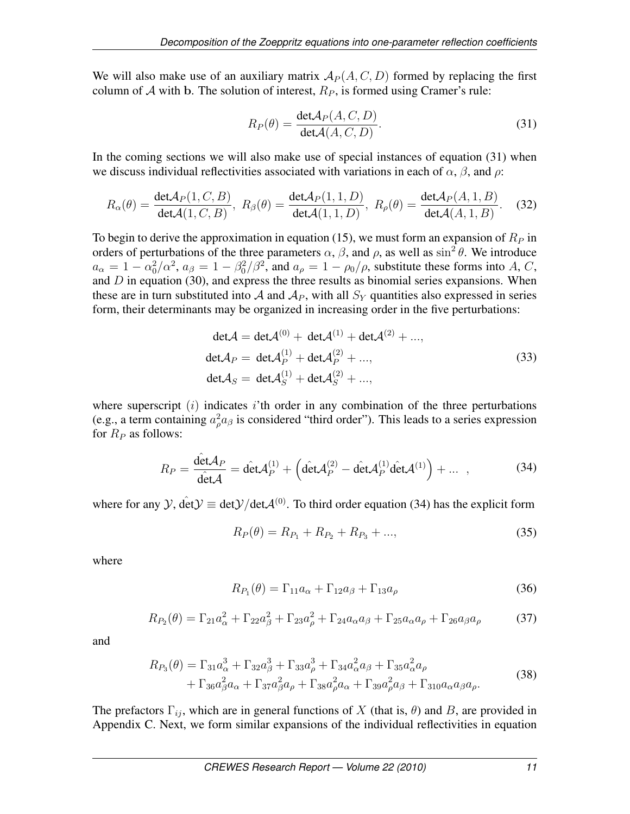We will also make use of an auxiliary matrix  $A_P (A, C, D)$  formed by replacing the first column of A with b. The solution of interest,  $R_P$ , is formed using Cramer's rule:

$$
R_P(\theta) = \frac{\det A_P(A, C, D)}{\det A(A, C, D)}.
$$
\n(31)

In the coming sections we will also make use of special instances of equation (31) when we discuss individual reflectivities associated with variations in each of  $\alpha$ ,  $\beta$ , and  $\rho$ :

$$
R_{\alpha}(\theta) = \frac{\det A_P(1, C, B)}{\det A(1, C, B)}, \ R_{\beta}(\theta) = \frac{\det A_P(1, 1, D)}{\det A(1, 1, D)}, \ R_{\rho}(\theta) = \frac{\det A_P(A, 1, B)}{\det A(A, 1, B)}.
$$
 (32)

To begin to derive the approximation in equation (15), we must form an expansion of  $R<sub>P</sub>$  in orders of perturbations of the three parameters  $\alpha$ ,  $\beta$ , and  $\rho$ , as well as  $\sin^2 \theta$ . We introduce  $a_{\alpha} = 1 - \alpha_0^2/\alpha^2$ ,  $a_{\beta} = 1 - \beta_0^2/\beta^2$ , and  $a_{\rho} = 1 - \rho_0/\rho$ , substitute these forms into A, C, and  $D$  in equation (30), and express the three results as binomial series expansions. When these are in turn substituted into A and  $A_P$ , with all  $S_Y$  quantities also expressed in series form, their determinants may be organized in increasing order in the five perturbations:

$$
det \mathcal{A} = det \mathcal{A}^{(0)} + det \mathcal{A}^{(1)} + det \mathcal{A}^{(2)} + ...,
$$
  
\n
$$
det \mathcal{A}_P = det \mathcal{A}_P^{(1)} + det \mathcal{A}_P^{(2)} + ...,
$$
  
\n
$$
det \mathcal{A}_S = det \mathcal{A}_S^{(1)} + det \mathcal{A}_S^{(2)} + ...,
$$
\n(33)

where superscript  $(i)$  indicates i'th order in any combination of the three perturbations (e.g., a term containing  $a_{\rho}^2 a_{\beta}$  is considered "third order"). This leads to a series expression for  $R_P$  as follows:

$$
R_P = \frac{\det A_P}{\det A} = \det A_P^{(1)} + \left(\det A_P^{(2)} - \det A_P^{(1)} \det A^{(1)}\right) + \dots \quad , \tag{34}
$$

where for any  $\mathcal{Y}$ ,  $\det \mathcal{Y} \equiv \det \mathcal{Y}/\det \mathcal{A}^{(0)}$ . To third order equation (34) has the explicit form

$$
R_P(\theta) = R_{P_1} + R_{P_2} + R_{P_3} + ..., \qquad (35)
$$

where

$$
R_{P_1}(\theta) = \Gamma_{11}a_{\alpha} + \Gamma_{12}a_{\beta} + \Gamma_{13}a_{\rho}
$$
\n(36)

$$
R_{P_2}(\theta) = \Gamma_{21} a_{\alpha}^2 + \Gamma_{22} a_{\beta}^2 + \Gamma_{23} a_{\rho}^2 + \Gamma_{24} a_{\alpha} a_{\beta} + \Gamma_{25} a_{\alpha} a_{\rho} + \Gamma_{26} a_{\beta} a_{\rho}
$$
 (37)

and

$$
R_{P_3}(\theta) = \Gamma_{31} a_{\alpha}^3 + \Gamma_{32} a_{\beta}^3 + \Gamma_{33} a_{\rho}^3 + \Gamma_{34} a_{\alpha}^2 a_{\beta} + \Gamma_{35} a_{\alpha}^2 a_{\rho} + \Gamma_{36} a_{\beta}^2 a_{\alpha} + \Gamma_{37} a_{\beta}^2 a_{\rho} + \Gamma_{38} a_{\rho}^2 a_{\alpha} + \Gamma_{39} a_{\rho}^2 a_{\beta} + \Gamma_{310} a_{\alpha} a_{\beta} a_{\rho}.
$$
 (38)

The prefactors  $\Gamma_{ij}$ , which are in general functions of X (that is,  $\theta$ ) and B, are provided in Appendix C. Next, we form similar expansions of the individual reflectivities in equation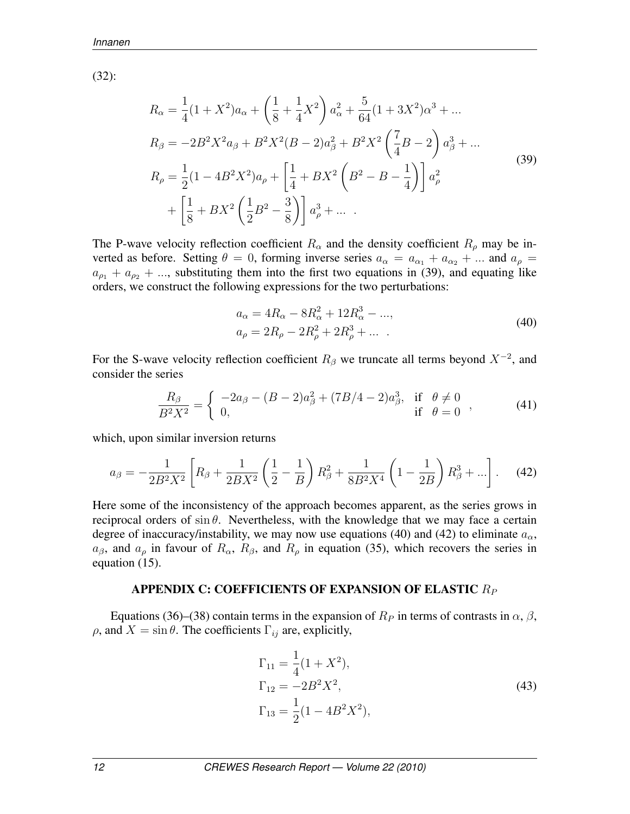(32):

$$
R_{\alpha} = \frac{1}{4}(1+X^2)a_{\alpha} + \left(\frac{1}{8} + \frac{1}{4}X^2\right)a_{\alpha}^2 + \frac{5}{64}(1+3X^2)a^3 + \dots
$$
  
\n
$$
R_{\beta} = -2B^2X^2a_{\beta} + B^2X^2(B-2)a_{\beta}^2 + B^2X^2\left(\frac{7}{4}B-2\right)a_{\beta}^3 + \dots
$$
  
\n
$$
R_{\rho} = \frac{1}{2}(1-4B^2X^2)a_{\rho} + \left[\frac{1}{4} + BX^2\left(B^2 - B - \frac{1}{4}\right)\right]a_{\rho}^2 + \left[\frac{1}{8} + BX^2\left(\frac{1}{2}B^2 - \frac{3}{8}\right)\right]a_{\rho}^3 + \dots
$$
\n(39)

The P-wave velocity reflection coefficient  $R_{\alpha}$  and the density coefficient  $R_{\rho}$  may be inverted as before. Setting  $\theta = 0$ , forming inverse series  $a_{\alpha} = a_{\alpha_1} + a_{\alpha_2} + ...$  and  $a_{\rho} =$  $a_{\rho_1} + a_{\rho_2} + ...$ , substituting them into the first two equations in (39), and equating like orders, we construct the following expressions for the two perturbations:

$$
a_{\alpha} = 4R_{\alpha} - 8R_{\alpha}^{2} + 12R_{\alpha}^{3} - \dots,
$$
  
\n
$$
a_{\rho} = 2R_{\rho} - 2R_{\rho}^{2} + 2R_{\rho}^{3} + \dots
$$
\n(40)

For the S-wave velocity reflection coefficient  $R_\beta$  we truncate all terms beyond  $X^{-2}$ , and consider the series

$$
\frac{R_{\beta}}{B^2 X^2} = \begin{cases} -2a_{\beta} - (B-2)a_{\beta}^2 + (7B/4-2)a_{\beta}^3, & \text{if } \theta \neq 0 \\ 0, & \text{if } \theta = 0 \end{cases},
$$
(41)

which, upon similar inversion returns

$$
a_{\beta} = -\frac{1}{2B^2X^2} \left[ R_{\beta} + \frac{1}{2BX^2} \left( \frac{1}{2} - \frac{1}{B} \right) R_{\beta}^2 + \frac{1}{8B^2X^4} \left( 1 - \frac{1}{2B} \right) R_{\beta}^3 + \ldots \right].
$$
 (42)

Here some of the inconsistency of the approach becomes apparent, as the series grows in reciprocal orders of  $\sin \theta$ . Nevertheless, with the knowledge that we may face a certain degree of inaccuracy/instability, we may now use equations (40) and (42) to eliminate  $a_{\alpha}$ ,  $a_{\beta}$ , and  $a_{\rho}$  in favour of  $R_{\alpha}$ ,  $R_{\beta}$ , and  $R_{\rho}$  in equation (35), which recovers the series in equation (15).

### APPENDIX C: COEFFICIENTS OF EXPANSION OF ELASTIC  $R_P$

Equations (36)–(38) contain terms in the expansion of  $R_P$  in terms of contrasts in  $\alpha$ ,  $\beta$ , ρ, and  $X = \sin \theta$ . The coefficients Γ<sub>ij</sub> are, explicitly,

$$
\Gamma_{11} = \frac{1}{4}(1 + X^2),
$$
  
\n
$$
\Gamma_{12} = -2B^2X^2,
$$
  
\n
$$
\Gamma_{13} = \frac{1}{2}(1 - 4B^2X^2),
$$
\n(43)